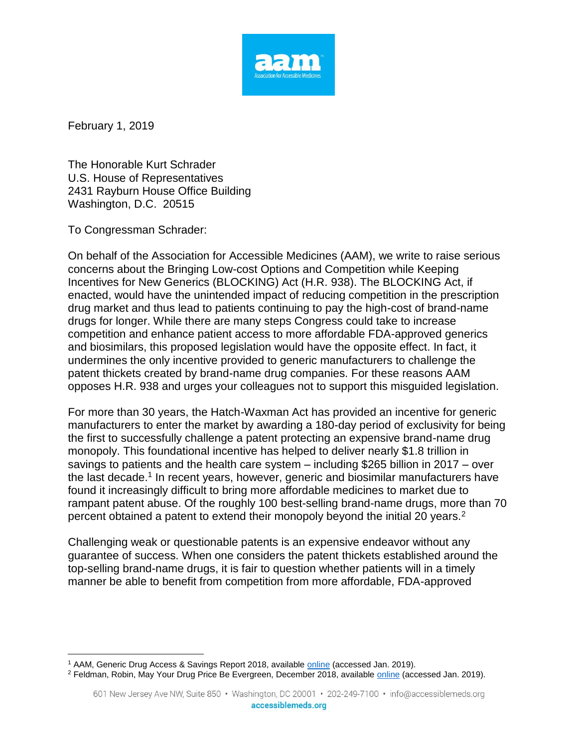

February 1, 2019

 $\overline{a}$ 

The Honorable Kurt Schrader U.S. House of Representatives 2431 Rayburn House Office Building Washington, D.C. 20515

To Congressman Schrader:

On behalf of the Association for Accessible Medicines (AAM), we write to raise serious concerns about the Bringing Low-cost Options and Competition while Keeping Incentives for New Generics (BLOCKING) Act (H.R. 938). The BLOCKING Act, if enacted, would have the unintended impact of reducing competition in the prescription drug market and thus lead to patients continuing to pay the high-cost of brand-name drugs for longer. While there are many steps Congress could take to increase competition and enhance patient access to more affordable FDA-approved generics and biosimilars, this proposed legislation would have the opposite effect. In fact, it undermines the only incentive provided to generic manufacturers to challenge the patent thickets created by brand-name drug companies. For these reasons AAM opposes H.R. 938 and urges your colleagues not to support this misguided legislation.

For more than 30 years, the Hatch-Waxman Act has provided an incentive for generic manufacturers to enter the market by awarding a 180-day period of exclusivity for being the first to successfully challenge a patent protecting an expensive brand-name drug monopoly. This foundational incentive has helped to deliver nearly \$1.8 trillion in savings to patients and the health care system – including \$265 billion in 2017 – over the last decade.<sup>1</sup> In recent years, however, generic and biosimilar manufacturers have found it increasingly difficult to bring more affordable medicines to market due to rampant patent abuse. Of the roughly 100 best-selling brand-name drugs, more than 70 percent obtained a patent to extend their monopoly beyond the initial 20 years.<sup>2</sup>

Challenging weak or questionable patents is an expensive endeavor without any guarantee of success. When one considers the patent thickets established around the top-selling brand-name drugs, it is fair to question whether patients will in a timely manner be able to benefit from competition from more affordable, FDA-approved

<sup>1</sup> AAM, Generic Drug Access & Savings Report 2018, available [online](https://accessiblemeds.org/sites/default/files/2018_aam_generic_drug_access_and_savings_report.pdf) (accessed Jan. 2019).

<sup>&</sup>lt;sup>2</sup> Feldman, Robin, May Your Drug Price Be Evergreen, December 2018, available [online](https://academic.oup.com/jlb/advance-article/doi/10.1093/jlb/lsy022/5232981) (accessed Jan. 2019).